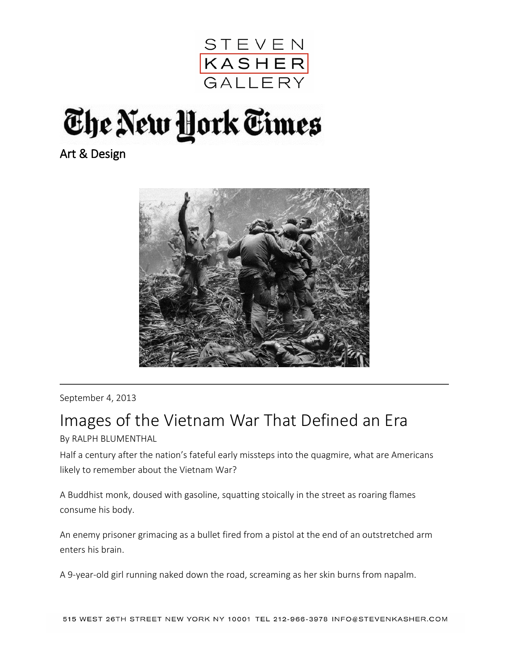

## The New York Times

[Art & Design](http://www.nytimes.com/pages/arts/design/index.html) 



September 4, 2013

## Images of the Vietnam War That Defined an Era By [RALPH BLUMENTHAL](http://topics.nytimes.com/top/reference/timestopics/people/b/ralph_blumenthal/index.html)

Half a century after the nation's fateful early missteps into the quagmire, what are Americans likely to remember about the Vietnam War?

A Buddhist monk, doused with gasoline, squatting stoically in the street as roaring flames consume his body.

An enemy prisoner grimacing as a bullet fired from a pistol at the end of an outstretched arm enters his brain.

A 9-year-old girl running naked down the road, screaming as her skin burns from napalm.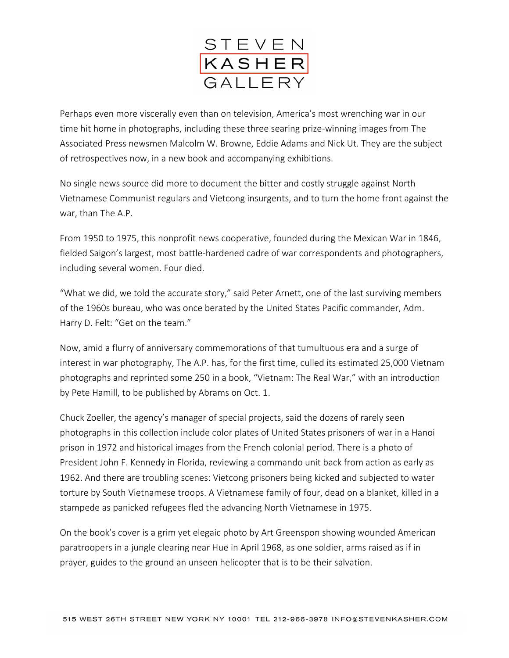

Perhaps even more viscerally even than on television, America's most wrenching war in our time [hit home in photographs,](http://lens.blogs.nytimes.com/2013/09/04/a-veteran-reporter-reflects-on-a-distant-war/) including these three searing prize-winning images from The Associated Press newsmen Malcolm W. Browne, Eddie Adams and Nick Ut. They are the subject of retrospectives now, in a new book and accompanying exhibitions.

No single news source did more to document the bitter and costly struggle against North Vietnamese Communist regulars and Vietcong insurgents, and to turn the home front against the war, than The A.P.

From 1950 to 1975, this nonprofit news cooperative, founded during the Mexican War in 1846, fielded Saigon's largest, most battle-hardened cadre of war correspondents and photographers, including several women. Four died.

"What we did, we told the accurate story," said [Peter Arnett,](http://www.pbs.org/weta/reportingamericaatwar/reporters/arnett/) one of the last surviving members of the 1960s bureau, who was once berated by the United States Pacific commander, Adm. Harry D. Felt: "Get on the team."

Now, amid a flurry of anniversary commemorations of that tumultuous era and a surge of interest in war photography, The A.P. has, for the first time, culled its estimated 25,000 Vietnam photographs and reprinted some 250 in a book, ["Vietnam: The Real War,"](http://www.ap.org/Content/Press-Release/2013/Vietnam-The-Real-War-a-photographic-history-by-the-AP-to-be-published-Oct-1) with an introduction by Pete Hamill, to be published by Abrams on Oct. 1.

Chuck Zoeller, the agency's manager of special projects, said the dozens of rarely seen photographs in this collection include color plates of United States prisoners of war in a Hanoi prison in 1972 and historical images from the French colonial period. There is a photo of President John F. Kennedy in Florida, reviewing a commando unit back from action as early as 1962. And there are troubling scenes: Vietcong prisoners being kicked and subjected to water torture by South Vietnamese troops. A Vietnamese family of four, dead on a blanket, killed in a stampede as panicked refugees fled the advancing North Vietnamese in 1975.

On the book's cover is a grim yet elegaic photo by Art Greenspon showing wounded American paratroopers in a jungle clearing near Hue in April 1968, as one soldier, arms raised as if in prayer, guides to the ground an unseen helicopter that is to be their salvation.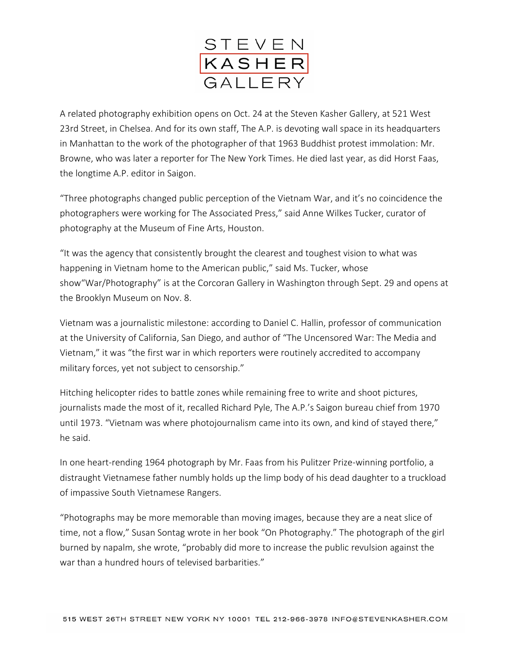

A related photography exhibition opens on Oct. 24 at the Steven Kasher Gallery, at 521 West 23rd Street, in Chelsea. And for its own staff, The A.P. is devoting wall space in its headquarters in Manhattan to the work of the photographer of that 1963 Buddhist protest immolation: [Mr.](http://www.nytimes.com/2012/08/29/world/asia/malcolm-w-browne-pulitzer-winner-dies-at-81.html?_r=0)  [Browne,](http://www.nytimes.com/2012/08/29/world/asia/malcolm-w-browne-pulitzer-winner-dies-at-81.html?_r=0) who was later a reporter for The New York Times. He died last year, as did [Horst Faas,](http://www.nytimes.com/2012/05/13/world/asia/horst-faas-vietnam-war-photographer-dies-at-79.html) the longtime A.P. editor in Saigon.

"Three photographs changed public perception of the Vietnam War, and it's no coincidence the photographers were working for The Associated Press," said Anne Wilkes Tucker, curator of photography at the Museum of Fine Arts, Houston.

"It was the agency that consistently brought the clearest and toughest vision to what was happening in Vietnam home to the American public," said Ms. Tucker, whose show["War/Photography"](http://www.corcoran.org/warphoto) is at the Corcoran Gallery in Washington through Sept. 29 and opens at the Brooklyn Museum on Nov. 8.

Vietnam was a journalistic milestone: according to Daniel C. Hallin, professor of communication at the University of California, San Diego, and author of "The Uncensored War: The Media and Vietnam," it was "the first war in which reporters were routinely accredited to accompany military forces, yet not subject to censorship."

Hitching helicopter rides to battle zones while remaining free to write and shoot pictures, journalists made the most of it, recalled Richard Pyle, The A.P.'s Saigon bureau chief from 1970 until 1973. "Vietnam was where photojournalism came into its own, and kind of stayed there," he said.

In one heart-rending 1964 photograph by Mr. Faas from his Pulitzer Prize-winning portfolio, a distraught Vietnamese father numbly holds up the limp body of his dead daughter to a truckload of impassive South Vietnamese Rangers.

"Photographs may be more memorable than moving images, because they are a neat slice of time, not a flow," Susan Sontag wrote in her book "On Photography." The photograph of the girl burned by napalm, she wrote, "probably did more to increase the public revulsion against the war than a hundred hours of televised barbarities."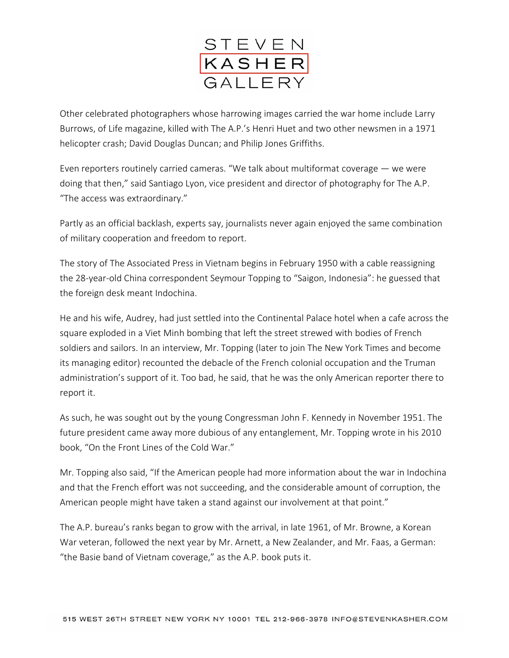

Other celebrated photographers whose harrowing images carried the war home include [Larry](http://life.time.com/larry-burrows/)  [Burrows](http://life.time.com/larry-burrows/), of Life magazine, killed with The A.P.'s [Henri Huet](http://www.theguardian.com/world/gallery/2011/mar/15/photography) and two other newsmen in a 1971 helicopter crash; [David Douglas Duncan;](http://www.hrc.utexas.edu/exhibitions/web/ddd/home.html) and [Philip Jones Griffiths.](http://www.nytimes.com/2008/03/20/arts/design/20griffiths.html?_r=0)

Even reporters routinely carried cameras. "We talk about multiformat coverage — we were doing that then," said Santiago Lyon, vice president and director of photography for The A.P. "The access was extraordinary."

Partly as an official backlash, experts say, journalists never again enjoyed the same combination of military cooperation and freedom to report.

The story of The Associated Press in Vietnam begins in February 1950 with a cable reassigning the 28-year-old China correspondent Seymour Topping to "Saigon, Indonesia": he guessed that the foreign desk meant Indochina.

He and his wife, Audrey, had just settled into the [Continental Palace](http://www.globalpost.com/dispatch/worldview/090103/the-war-hotels-part-i-vietnam-0) hotel when a cafe across the square exploded in a Viet Minh bombing that left the street strewed with bodies of French soldiers and sailors. In an interview, Mr. Topping (later to join The New York Times and become its managing editor) recounted the debacle of the French colonial occupation and the Truman administration's support of it. Too bad, he said, that he was the only American reporter there to report it.

As such, he was sought out by the young Congressman John F. Kennedy in November 1951. The future president came away more dubious of any entanglement, Mr. Topping wrote in his 2010 book, ["On the Front Lines of the Cold War."](http://lsupress.org/books/detail/on-the-front-lines-of-the-cold-war/)

Mr. Topping also said, "If the American people had more information about the war in Indochina and that the French effort was not succeeding, and the considerable amount of corruption, the American people might have taken a stand against our involvement at that point."

The A.P. bureau's ranks began to grow with the arrival, in late 1961, of Mr. Browne, a Korean War veteran, followed the next year by Mr. Arnett, a New Zealander, and Mr. Faas, a German: "the Basie band of Vietnam coverage," as the A.P. book puts it.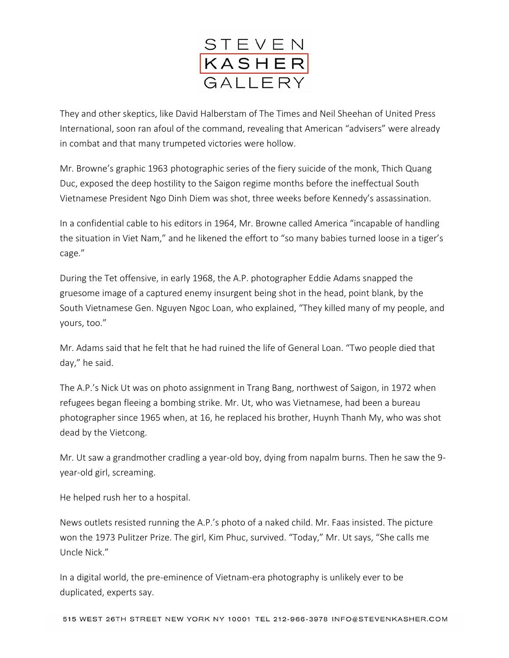

They and other skeptics, like David Halberstam of The Times and Neil Sheehan of United Press International, soon ran afoul of the command, revealing that American "advisers" were already in combat and that many trumpeted victories were hollow.

Mr. Browne's graphic 1963 [photographic series](https://www.google.com/search?q=Malcolm+Browne+monk&tbm=isch&tbo=u&source=univ&sa=X&ei=3UwmUpncMIuksQTN34DYDw&ved=0CDgQsAQ&biw=1079&bih=765) of the fiery suicide of the monk, Thich Quang Duc, exposed the deep hostility to the Saigon regime months before the ineffectual South Vietnamese President Ngo Dinh Diem was shot, three weeks before Kennedy's assassination.

In a confidential cable to his editors in 1964, Mr. Browne called America "incapable of handling the situation in Viet Nam," and he likened the effort to "so many babies turned loose in a tiger's cage."

During the Tet offensive, in early 1968, the A.P. photographer Eddie Adams snapped [the](http://www.google.com/imgres?imgurl=http://academics.wellesley.edu/Polisci/wj/Vietnam/ThreeImages/images/EAdams.jpg&imgrefurl=http://academics.wellesley.edu/Polisci/wj/Vietnam/ThreeImages/brady2.html&h=372&w=496&sz=34&tbnid=LuAJoT1EBFEfVM:&tbnh=98&tbnw=130&prev=/search%3Fq%3DGeneral%2BLoan.%26tbm%3Disch%26tbo%3Du&zoom=1&q=General+Loan.&usg=__fVNms7NMOoXJ6hTMfGWfQ9JkqvM=&docid=90kQIhIvicV9gM&sa=X&ei=Y0UmUruiFKvbsASR-IGICA&ved=0CEkQ9QEwBQ&dur=892)  [gruesome image](http://www.google.com/imgres?imgurl=http://academics.wellesley.edu/Polisci/wj/Vietnam/ThreeImages/images/EAdams.jpg&imgrefurl=http://academics.wellesley.edu/Polisci/wj/Vietnam/ThreeImages/brady2.html&h=372&w=496&sz=34&tbnid=LuAJoT1EBFEfVM:&tbnh=98&tbnw=130&prev=/search%3Fq%3DGeneral%2BLoan.%26tbm%3Disch%26tbo%3Du&zoom=1&q=General+Loan.&usg=__fVNms7NMOoXJ6hTMfGWfQ9JkqvM=&docid=90kQIhIvicV9gM&sa=X&ei=Y0UmUruiFKvbsASR-IGICA&ved=0CEkQ9QEwBQ&dur=892) of a captured enemy insurgent being shot in the head, point blank, by the South Vietnamese Gen. Nguyen Ngoc Loan, who explained, "They killed many of my people, and yours, too."

Mr. Adams said that he felt that he had ruined the life of General Loan. "Two people died that day," he said.

The A.P.'s [Nick Ut](http://petapixel.com/2012/09/19/interview-with-nick-ut-the-photojournalist-who-shot-the-iconic-photo-napalm-girl/) was on photo assignment in Trang Bang, northwest of Saigon, in 1972 when refugees began fleeing a bombing strike. Mr. Ut, who was Vietnamese, had been a bureau photographer since 1965 when, at 16, he replaced his brother, Huynh Thanh My, who was shot dead by the Vietcong.

Mr. Ut saw a grandmother cradling a year-old boy, dying from napalm burns. Then he saw the 9 year-old girl, screaming.

He helped rush her to a hospital.

News outlets resisted running the A.P.'s photo of a naked child. Mr. Faas insisted. The picture won the 1973 Pulitzer Prize. The girl, [Kim Phuc](http://www.kimfoundation.com/), survived. "Today," Mr. Ut says, "She calls me Uncle Nick."

In a digital world, the pre-eminence of Vietnam-era photography is unlikely ever to be duplicated, experts say.